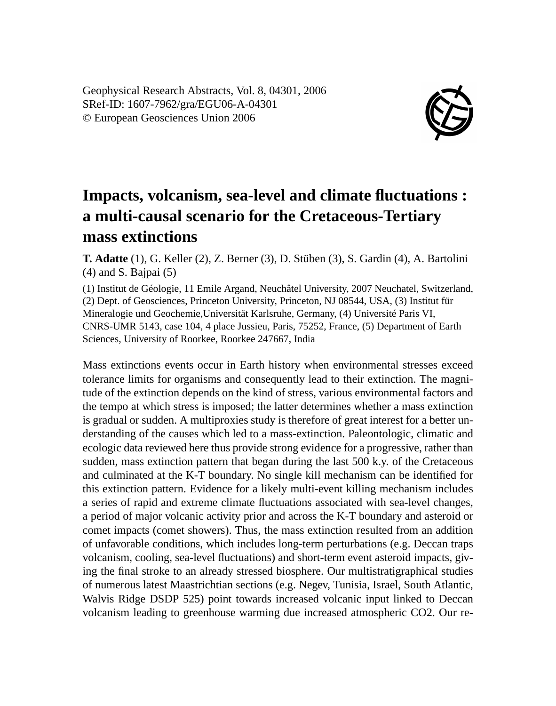Geophysical Research Abstracts, Vol. 8, 04301, 2006 SRef-ID: 1607-7962/gra/EGU06-A-04301 © European Geosciences Union 2006



## **Impacts, volcanism, sea-level and climate fluctuations : a multi-causal scenario for the Cretaceous-Tertiary mass extinctions**

**T. Adatte** (1), G. Keller (2), Z. Berner (3), D. Stüben (3), S. Gardin (4), A. Bartolini (4) and S. Bajpai (5)

(1) Institut de Géologie, 11 Emile Argand, Neuchâtel University, 2007 Neuchatel, Switzerland, (2) Dept. of Geosciences, Princeton University, Princeton, NJ 08544, USA, (3) Institut für Mineralogie und Geochemie,Universität Karlsruhe, Germany, (4) Université Paris VI, CNRS-UMR 5143, case 104, 4 place Jussieu, Paris, 75252, France, (5) Department of Earth Sciences, University of Roorkee, Roorkee 247667, India

Mass extinctions events occur in Earth history when environmental stresses exceed tolerance limits for organisms and consequently lead to their extinction. The magnitude of the extinction depends on the kind of stress, various environmental factors and the tempo at which stress is imposed; the latter determines whether a mass extinction is gradual or sudden. A multiproxies study is therefore of great interest for a better understanding of the causes which led to a mass-extinction. Paleontologic, climatic and ecologic data reviewed here thus provide strong evidence for a progressive, rather than sudden, mass extinction pattern that began during the last 500 k.y. of the Cretaceous and culminated at the K-T boundary. No single kill mechanism can be identified for this extinction pattern. Evidence for a likely multi-event killing mechanism includes a series of rapid and extreme climate fluctuations associated with sea-level changes, a period of major volcanic activity prior and across the K-T boundary and asteroid or comet impacts (comet showers). Thus, the mass extinction resulted from an addition of unfavorable conditions, which includes long-term perturbations (e.g. Deccan traps volcanism, cooling, sea-level fluctuations) and short-term event asteroid impacts, giving the final stroke to an already stressed biosphere. Our multistratigraphical studies of numerous latest Maastrichtian sections (e.g. Negev, Tunisia, Israel, South Atlantic, Walvis Ridge DSDP 525) point towards increased volcanic input linked to Deccan volcanism leading to greenhouse warming due increased atmospheric CO2. Our re-